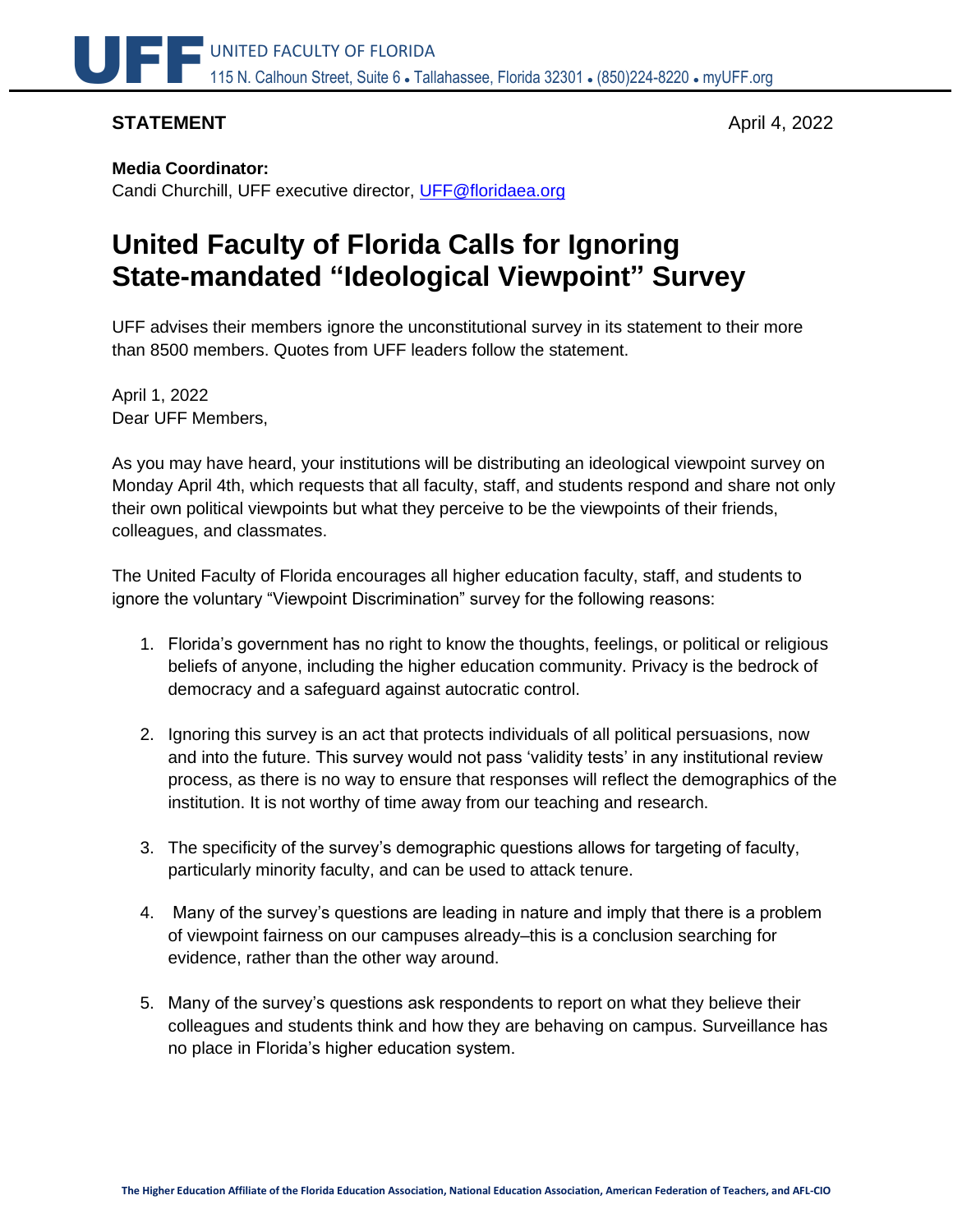

## **STATEMENT** April 4, 2022

## **Media Coordinator:**

Candi Churchill, UFF executive director, [UFF@floridaea.org](mailto:UFF@floridaea.org)

# **United Faculty of Florida Calls for Ignoring State-mandated "Ideological Viewpoint" Survey**

UFF advises their members ignore the unconstitutional survey in its statement to their more than 8500 members. Quotes from UFF leaders follow the statement.

April 1, 2022 Dear UFF Members,

As you may have heard, your institutions will be distributing an ideological viewpoint survey on Monday April 4th, which requests that all faculty, staff, and students respond and share not only their own political viewpoints but what they perceive to be the viewpoints of their friends, colleagues, and classmates.

The United Faculty of Florida encourages all higher education faculty, staff, and students to ignore the voluntary "Viewpoint Discrimination" survey for the following reasons:

- 1. Florida's government has no right to know the thoughts, feelings, or political or religious beliefs of anyone, including the higher education community. Privacy is the bedrock of democracy and a safeguard against autocratic control.
- 2. Ignoring this survey is an act that protects individuals of all political persuasions, now and into the future. This survey would not pass 'validity tests' in any institutional review process, as there is no way to ensure that responses will reflect the demographics of the institution. It is not worthy of time away from our teaching and research.
- 3. The specificity of the survey's demographic questions allows for targeting of faculty, particularly minority faculty, and can be used to attack tenure.
- 4. Many of the survey's questions are leading in nature and imply that there is a problem of viewpoint fairness on our campuses already–this is a conclusion searching for evidence, rather than the other way around.
- 5. Many of the survey's questions ask respondents to report on what they believe their colleagues and students think and how they are behaving on campus. Surveillance has no place in Florida's higher education system.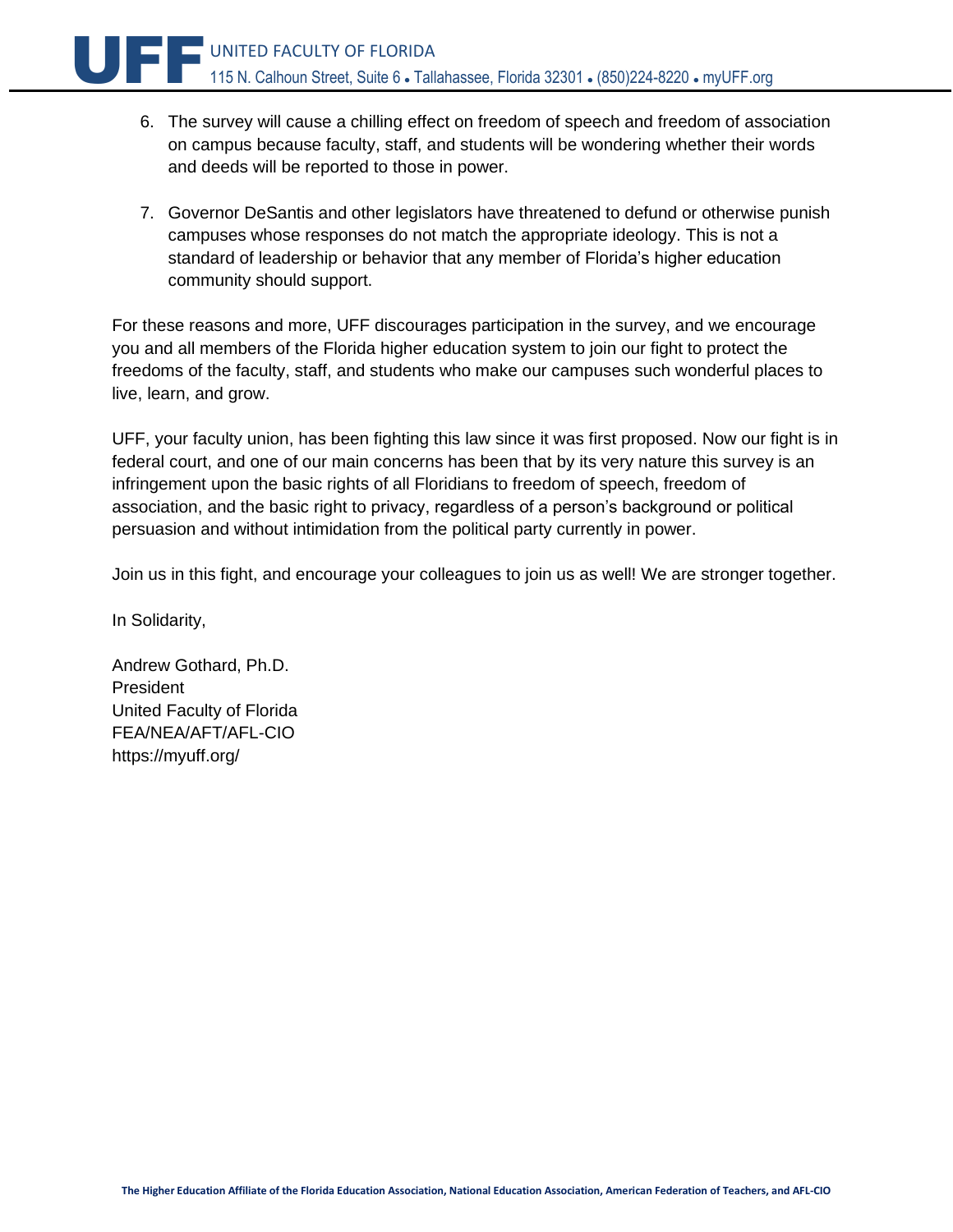- 6. The survey will cause a chilling effect on freedom of speech and freedom of association on campus because faculty, staff, and students will be wondering whether their words and deeds will be reported to those in power.
- 7. Governor DeSantis and other legislators have threatened to defund or otherwise punish campuses whose responses do not match the appropriate ideology. This is not a standard of leadership or behavior that any member of Florida's higher education community should support.

For these reasons and more, UFF discourages participation in the survey, and we encourage you and all members of the Florida higher education system to join our fight to protect the freedoms of the faculty, staff, and students who make our campuses such wonderful places to live, learn, and grow.

UFF, your faculty union, has been fighting this law since it was first proposed. Now our fight is in federal court, and one of our main concerns has been that by its very nature this survey is an infringement upon the basic rights of all Floridians to freedom of speech, freedom of association, and the basic right to privacy, regardless of a person's background or political persuasion and without intimidation from the political party currently in power.

Join us in this fight, and encourage your colleagues to join us as well! We are stronger together.

In Solidarity,

Andrew Gothard, Ph.D. President United Faculty of Florida FEA/NEA/AFT/AFL-CIO https://myuff.org/